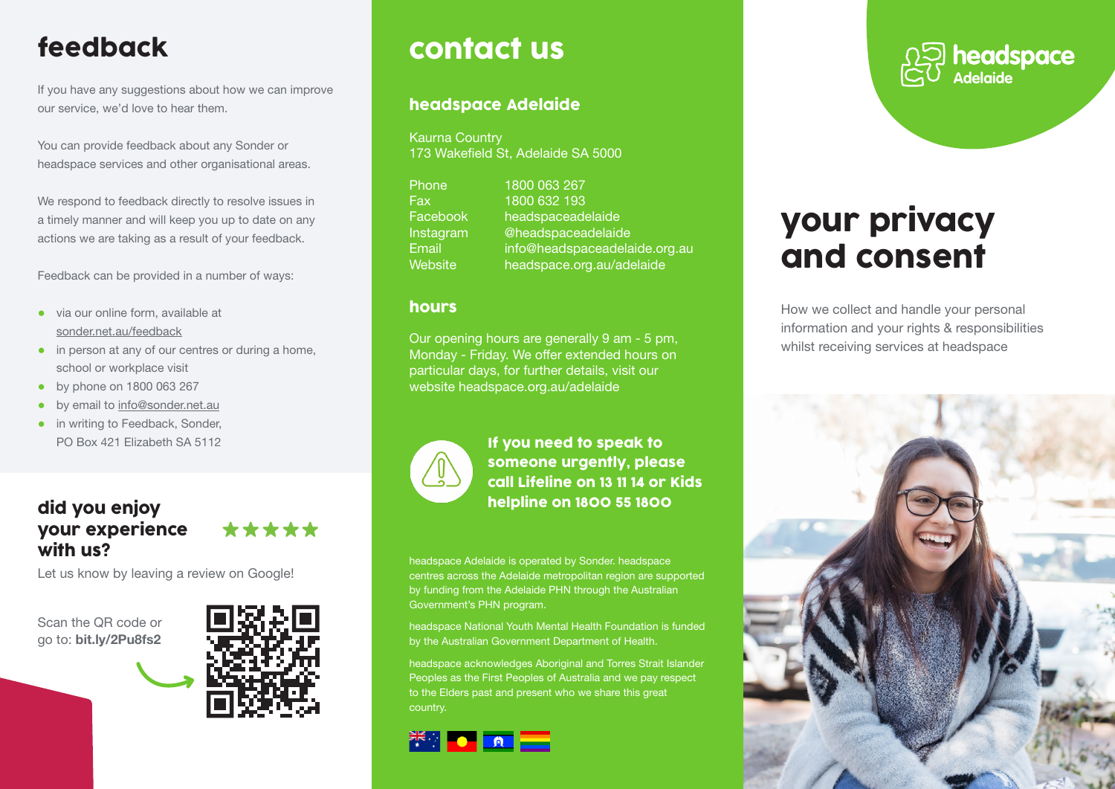# feedback

If you have any suggestions about how we can improve our service, we'd love to hear them.

You can provide feedback about any Sonder or headspace services and other organisational areas.

We respond to feedback directly to resolve issues in a timely manner and will keep you up to date on any actions we are taking as a result of your feedback.

Feedback can be provided in a number of ways:

- via our online form, available at sonder.net.au/feedback
- in person at any of our centres or during a home, school or workplace visit
- by phone on 1800 063 267
- by email to info@sonder.net.au
- in writing to Feedback, Sonder, PO Box 421 Elizabeth SA 5112

### did you enjoy your experience with us?

Let us know by leaving a review on Google!

Scan the QR code or go to: bit.ly/2Pu8fs2



\*\*\*\*\*

# contact us

### headspace Adelaide

Kaurna Country 173 Wakefield St, Adelaide SA 5000

| Phone     | 1800 063 267                  |
|-----------|-------------------------------|
| Fax       | 1800 632 193                  |
| Facebook  | headspaceadelaide             |
| Instagram | @headspaceadelaide            |
| Email     | info@headspaceadelaide.org.au |
| Website   | headspace.org.au/adelaide     |

#### hours

Our opening hours are generally 9 am - 5 pm, Monday - Friday. We offer extended hours on particular days, for further details, visit our website headspace.org.au/adelaide



If you need to speak to someone urgently, please call Lifeline on 13 11 14 or Kids helpline on 1800 55 1800

headspace Adelaide is operated by Sonder. headspace centres across the Adelaide metropolitan region are supported by funding from the Adelaide PHN through the Australian Government's PHN program.

headspace National Youth Mental Health Foundation is funded by the Australian Government Department of Health.

headspace acknowledges Aboriginal and Torres Strait Islander Peoples as the First Peoples of Australia and we pay respect to the Elders past and present who we share this great country.





# your privacy and consent

How we collect and handle your personal information and your rights & responsibilities whilst receiving services at headspace